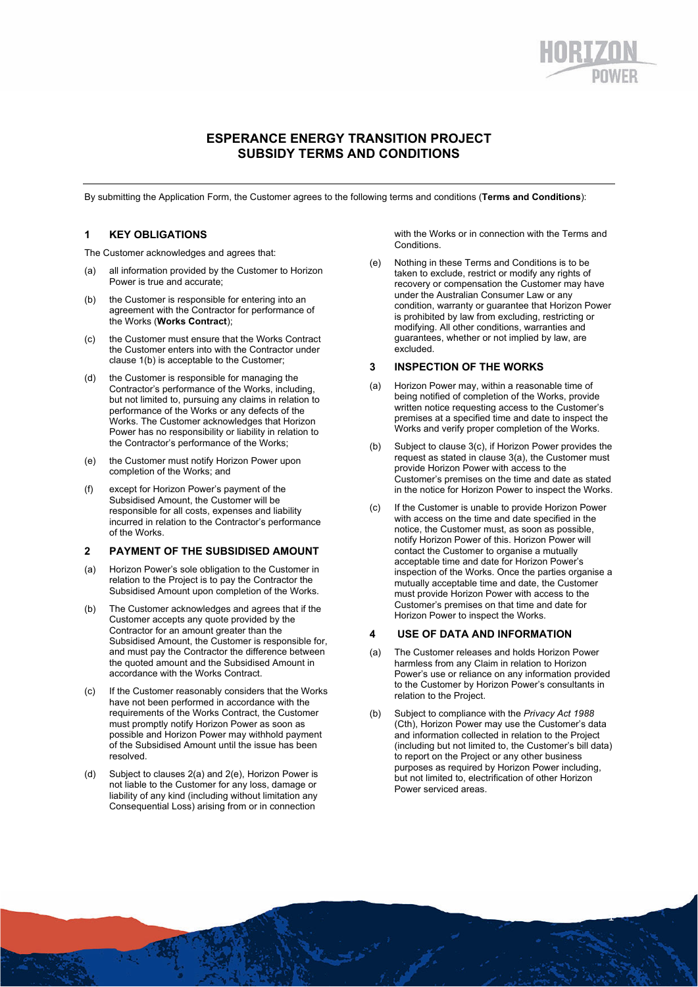# **ESPERANCE ENERGY TRANSITION PROJECT SUBSIDY TERMS AND CONDITIONS**

By submitting the Application Form, the Customer agrees to the following terms and conditions (**Terms and Conditions**):

## **1 KEY OBLIGATIONS**

The Customer acknowledges and agrees that:

- (a) all information provided by the Customer to Horizon Power is true and accurate;
- (b) the Customer is responsible for entering into an agreement with the Contractor for performance of the Works (**Works Contract**);
- (c) the Customer must ensure that the Works Contract the Customer enters into with the Contractor under clause 1(b) is acceptable to the Customer;
- (d) the Customer is responsible for managing the Contractor's performance of the Works, including, but not limited to, pursuing any claims in relation to performance of the Works or any defects of the Works. The Customer acknowledges that Horizon Power has no responsibility or liability in relation to the Contractor's performance of the Works;
- (e) the Customer must notify Horizon Power upon completion of the Works; and
- (f) except for Horizon Power's payment of the Subsidised Amount, the Customer will be responsible for all costs, expenses and liability incurred in relation to the Contractor's performance of the Works.

## **2 PAYMENT OF THE SUBSIDISED AMOUNT**

- (a) Horizon Power's sole obligation to the Customer in relation to the Project is to pay the Contractor the Subsidised Amount upon completion of the Works.
- (b) The Customer acknowledges and agrees that if the Customer accepts any quote provided by the Contractor for an amount greater than the Subsidised Amount, the Customer is responsible for, and must pay the Contractor the difference between the quoted amount and the Subsidised Amount in accordance with the Works Contract.
- (c) If the Customer reasonably considers that the Works have not been performed in accordance with the requirements of the Works Contract, the Customer must promptly notify Horizon Power as soon as possible and Horizon Power may withhold payment of the Subsidised Amount until the issue has been resolved.
- (d) Subject to clauses 2(a) and 2(e), Horizon Power is not liable to the Customer for any loss, damage or liability of any kind (including without limitation any Consequential Loss) arising from or in connection

with the Works or in connection with the Terms and Conditions.

(e) Nothing in these Terms and Conditions is to be taken to exclude, restrict or modify any rights of recovery or compensation the Customer may have under the Australian Consumer Law or any condition, warranty or guarantee that Horizon Power is prohibited by law from excluding, restricting or modifying. All other conditions, warranties and guarantees, whether or not implied by law, are excluded.

## **3 INSPECTION OF THE WORKS**

- (a) Horizon Power may, within a reasonable time of being notified of completion of the Works, provide written notice requesting access to the Customer's premises at a specified time and date to inspect the Works and verify proper completion of the Works.
- (b) Subject to clause 3(c), if Horizon Power provides the request as stated in clause 3(a), the Customer must provide Horizon Power with access to the Customer's premises on the time and date as stated in the notice for Horizon Power to inspect the Works.
- (c) If the Customer is unable to provide Horizon Power with access on the time and date specified in the notice, the Customer must, as soon as possible, notify Horizon Power of this. Horizon Power will contact the Customer to organise a mutually acceptable time and date for Horizon Power's inspection of the Works. Once the parties organise a mutually acceptable time and date, the Customer must provide Horizon Power with access to the Customer's premises on that time and date for Horizon Power to inspect the Works.

#### **4 USE OF DATA AND INFORMATION**

- (a) The Customer releases and holds Horizon Power harmless from any Claim in relation to Horizon Power's use or reliance on any information provided to the Customer by Horizon Power's consultants in relation to the Project.
- (b) Subject to compliance with the *Privacy Act 1988*  (Cth), Horizon Power may use the Customer's data and information collected in relation to the Project (including but not limited to, the Customer's bill data) to report on the Project or any other business purposes as required by Horizon Power including, but not limited to, electrification of other Horizon Power serviced areas.

1